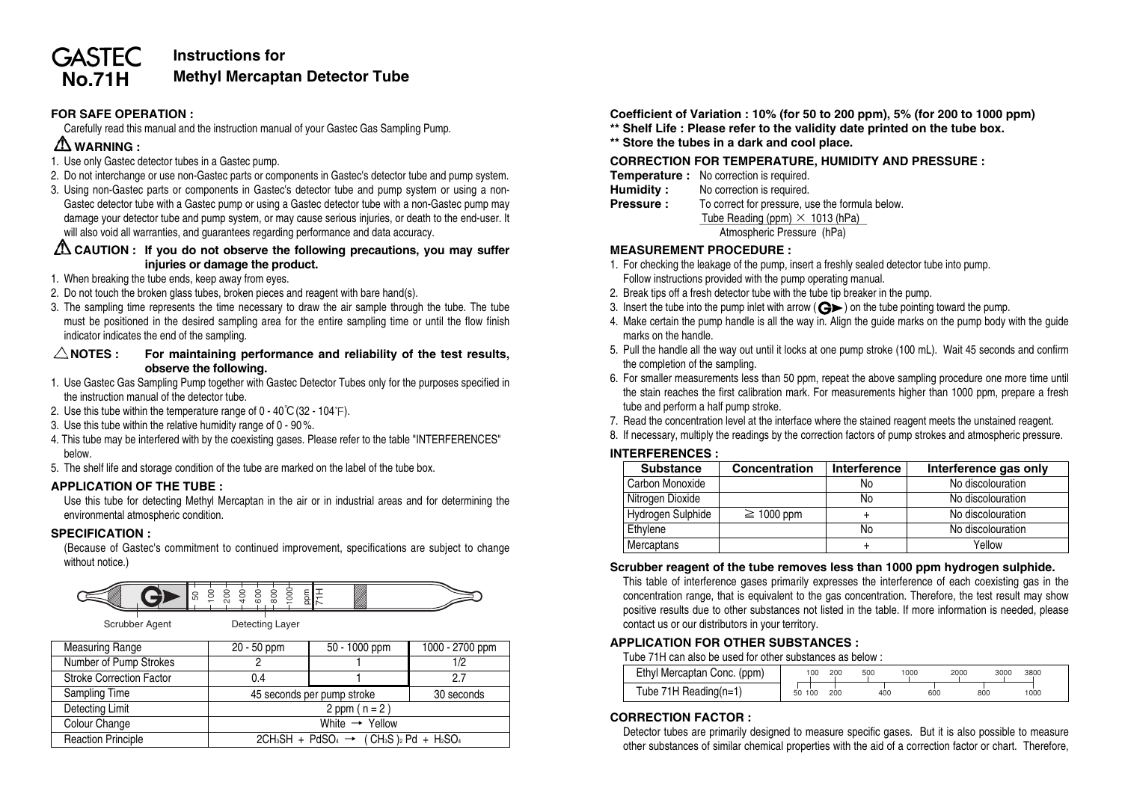#### **GASTEC Instructions for Methyl Mercaptan Detector Tube**

## **FOR SAFE OPERATION :**

Carefully read this manual and the instruction manual of your Gastec Gas Sampling Pump.

# **WARNING :**

**No.71H**

- 1. Use only Gastec detector tubes in a Gastec pump.
- 2. Do not interchange or use non-Gastec parts or components in Gastec's detector tube and pump system.
- 3. Using non-Gastec parts or components in Gastec's detector tube and pump system or using a non-Gastec detector tube with a Gastec pump or using a Gastec detector tube with a non-Gastec pump may damage your detector tube and pump system, or may cause serious injuries, or death to the end-user. It will also void all warranties, and guarantees regarding performance and data accuracy.

### **CAUTION : If you do not observe the following precautions, you may suffer injuries or damage the product.**

- 1. When breaking the tube ends, keep away from eyes.
- 2. Do not touch the broken glass tubes, broken pieces and reagent with bare hand(s).
- 3. The sampling time represents the time necessary to draw the air sample through the tube. The tube must be positioned in the desired sampling area for the entire sampling time or until the flow finish indicator indicates the end of the sampling.

#### $\triangle$ NOTES : For maintaining performance and reliability of the test results, **observe the following.**

- 1. Use Gastec Gas Sampling Pump together with Gastec Detector Tubes only for the purposes specified in the instruction manual of the detector tube.
- 2. Use this tube within the temperature range of  $0 40^{\circ}C(32 104^{\circ}F)$ .
- 3. Use this tube within the relative humidity range of 0 90 %.
- 4. This tube may be interfered with by the coexisting gases. Please refer to the table "INTERFERENCES" below.
- 5. The shelf life and storage condition of the tube are marked on the label of the tube box.

## **APPLICATION OF THE TUBE :**

Use this tube for detecting Methyl Mercaptan in the air or in industrial areas and for determining the environmental atmospheric condition.

## **SPECIFICATION :**

(Because of Gastec's commitment to continued improvement, specifications are subject to change without notice.)



Scrubber Agent Detecting Layer

| <b>Measuring Range</b>          | 50 - 1000 ppm<br>20 - 50 ppm                    |            | 1000 - 2700 ppm |  |  |
|---------------------------------|-------------------------------------------------|------------|-----------------|--|--|
| Number of Pump Strokes          |                                                 |            | 1/2             |  |  |
| <b>Stroke Correction Factor</b> | 0.4                                             |            | 2.7             |  |  |
| Sampling Time                   | 45 seconds per pump stroke                      | 30 seconds |                 |  |  |
| Detecting Limit                 | 2 ppm $(n = 2)$                                 |            |                 |  |  |
| Colour Change                   | White $\rightarrow$ Yellow                      |            |                 |  |  |
| <b>Reaction Principle</b>       | $2CH3SH + PdSO4 \rightarrow (CH3S)2 Pd + H2SO4$ |            |                 |  |  |

**Coefficient of Variation : 10% (for 50 to 200 ppm), 5% (for 200 to 1000 ppm) \*\* Shelf Life : Please refer to the validity date printed on the tube box.**

**\*\* Store the tubes in a dark and cool place.**

#### **CORRECTION FOR TEMPERATURE, HUMIDITY AND PRESSURE :**

- **Temperature :** No correction is required.
- **Humidity :** No correction is required.<br>**Pressure :** To correct for pressure.
- To correct for pressure, use the formula below. Tube Reading (ppm) × 1013 (hPa)<br>Atmospheric Pressure (hPa)

#### **MEASUREMENT PROCEDURE :**

- 1. For checking the leakage of the pump, insert a freshly sealed detector tube into pump. Follow instructions provided with the pump operating manual.
- 2. Break tips off a fresh detector tube with the tube tip breaker in the pump.
- 3. Insert the tube into the pump inlet with arrow ( $\bigodot$ ) on the tube pointing toward the pump.
- 4. Make certain the pump handle is all the way in. Align the guide marks on the pump body with the guide marks on the handle.
- 5. Pull the handle all the way out until it locks at one pump stroke (100 mL). Wait 45 seconds and confirm the completion of the sampling.
- 6. For smaller measurements less than 50 ppm, repeat the above sampling procedure one more time until the stain reaches the first calibration mark. For measurements higher than 1000 ppm, prepare a fresh tube and perform a half pump stroke.
- 7. Read the concentration level at the interface where the stained reagent meets the unstained reagent.
- 8. If necessary, multiply the readings by the correction factors of pump strokes and atmospheric pressure.

### **INTERFERENCES :**

| <b>Substance</b>  | Concentration   | Interference | Interference gas only |  |  |  |  |
|-------------------|-----------------|--------------|-----------------------|--|--|--|--|
| Carbon Monoxide   |                 | No           | No discolouration     |  |  |  |  |
| Nitrogen Dioxide  |                 | No           | No discolouration     |  |  |  |  |
| Hydrogen Sulphide | $\geq 1000$ ppm |              | No discolouration     |  |  |  |  |
| Ethylene          |                 | No           | No discolouration     |  |  |  |  |
| Mercaptans        |                 |              | Yellow                |  |  |  |  |

#### **Scrubber reagent of the tube removes less than 1000 ppm hydrogen sulphide.**

This table of interference gases primarily expresses the interference of each coexisting gas in the concentration range, that is equivalent to the gas concentration. Therefore, the test result may show positive results due to other substances not listed in the table. If more information is needed, please contact us or our distributors in your territory.

## **APPLICATION FOR OTHER SUBSTANCES :**

Tube 71H can also be used for other substances as below :

| -              |                    | 17 L                           |                                             |        | $\sim$                                 |          |      |      |          |      |  |
|----------------|--------------------|--------------------------------|---------------------------------------------|--------|----------------------------------------|----------|------|------|----------|------|--|
| ົ.             |                    |                                | Ethyl<br>I Mercaptan Conc. (ppm)            | 100    |                                        | 50<br>.  | 1000 | 2000 | 3000     | 3800 |  |
| υ.4            |                    | .                              |                                             |        |                                        |          |      |      |          |      |  |
| 45 seconds per | ` per pump stroke_ | $\sim$<br>0.00000<br>, seconos | 'ube<br>` 'eading(n=<br>RAA<br>$\mathbf{v}$ | $\sim$ | 0 <sup>0<sup>0<sup>n</sup></sup></sup> | 400<br>. | 60   |      | out<br>. | 1000 |  |

# **CORRECTION FACTOR :**

Detector tubes are primarily designed to measure specific gases. But it is also possible to measure other substances of similar chemical properties with the aid of a correction factor or chart. Therefore,